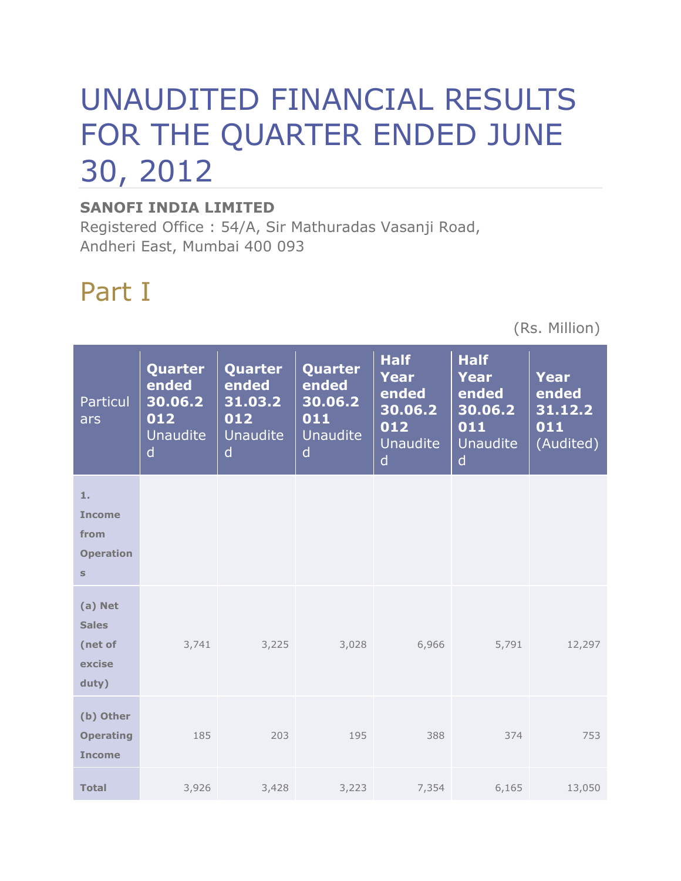# UNAUDITED FINANCIAL RESULTS FOR THE QUARTER ENDED JUNE 30, 2012

#### **SANOFI INDIA LIMITED**

Registered Office : 54/A, Sir Mathuradas Vasanji Road, Andheri East, Mumbai 400 093

## Part I

(Rs. Million)

| Particul<br>ars                                                 | Quarter<br>ended<br>30.06.2<br>012<br>Unaudite<br>$\mathsf{d}$ | Quarter<br>ended<br>31.03.2<br>012<br><b>Unaudite</b><br>d | Quarter<br>ended<br>30.06.2<br>011<br><b>Unaudite</b><br>$\mathsf{d}$ | <b>Half</b><br>Year<br>ended<br>30.06.2<br>012<br><b>Unaudite</b><br>$\mathsf{d}$ | <b>Half</b><br>Year<br>ended<br>30.06.2<br>011<br><b>Unaudite</b><br>$\mathsf{d}$ | Year<br>ended<br>31.12.2<br>011<br>(Audited) |
|-----------------------------------------------------------------|----------------------------------------------------------------|------------------------------------------------------------|-----------------------------------------------------------------------|-----------------------------------------------------------------------------------|-----------------------------------------------------------------------------------|----------------------------------------------|
| 1.<br><b>Income</b><br>from<br><b>Operation</b><br>$\mathbf{s}$ |                                                                |                                                            |                                                                       |                                                                                   |                                                                                   |                                              |
| (a) Net<br><b>Sales</b><br>(net of<br>excise<br>duty)           | 3,741                                                          | 3,225                                                      | 3,028                                                                 | 6,966                                                                             | 5,791                                                                             | 12,297                                       |
| (b) Other<br><b>Operating</b><br><b>Income</b>                  | 185                                                            | 203                                                        | 195                                                                   | 388                                                                               | 374                                                                               | 753                                          |
| <b>Total</b>                                                    | 3,926                                                          | 3,428                                                      | 3,223                                                                 | 7,354                                                                             | 6,165                                                                             | 13,050                                       |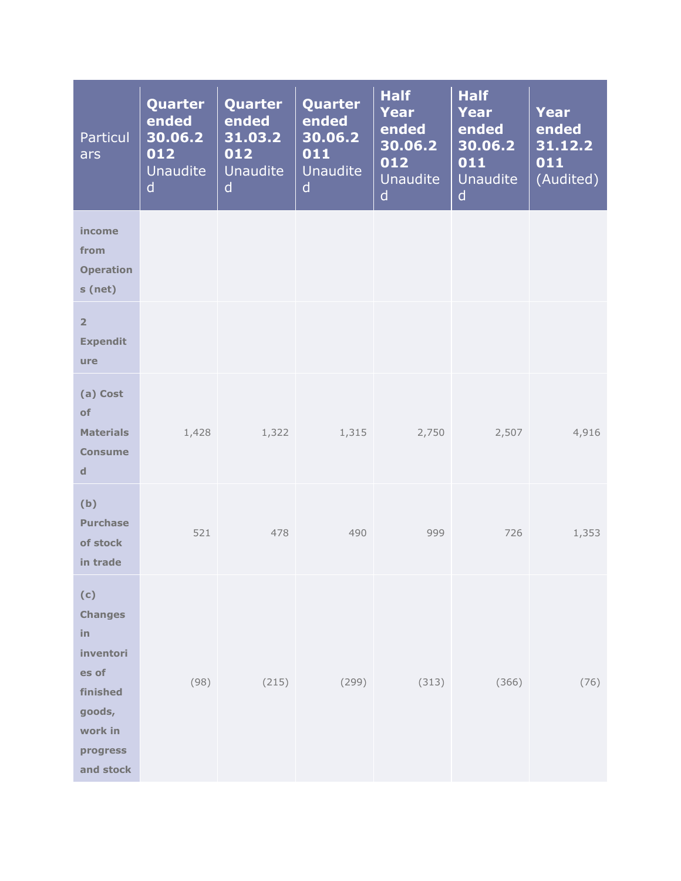| Particul<br>ars                                                                                             | Quarter<br>ended<br>30.06.2<br>012<br><b>Unaudite</b><br>d | Quarter<br>ended<br>31.03.2<br>012<br><b>Unaudite</b><br>d | Quarter<br>ended<br>30.06.2<br>011<br><b>Unaudite</b><br>$\mathsf{d}$ | <b>Half</b><br><b>Year</b><br>ended<br>30.06.2<br>012<br>Unaudite<br>$\mathsf{d}$ | <b>Half</b><br>Year<br>ended<br>30.06.2<br>011<br>Unaudite<br>$\mathsf{d}$ | <b>Year</b><br>ended<br>31.12.2<br>011<br>(Audited) |
|-------------------------------------------------------------------------------------------------------------|------------------------------------------------------------|------------------------------------------------------------|-----------------------------------------------------------------------|-----------------------------------------------------------------------------------|----------------------------------------------------------------------------|-----------------------------------------------------|
| income<br>from<br><b>Operation</b><br>s (net)                                                               |                                                            |                                                            |                                                                       |                                                                                   |                                                                            |                                                     |
| $\overline{2}$<br><b>Expendit</b><br>ure                                                                    |                                                            |                                                            |                                                                       |                                                                                   |                                                                            |                                                     |
| (a) Cost<br>of<br><b>Materials</b><br><b>Consume</b><br>$\mathbf d$                                         | 1,428                                                      | 1,322                                                      | 1,315                                                                 |                                                                                   | 2,750<br>2,507                                                             | 4,916                                               |
| (b)<br><b>Purchase</b><br>of stock<br>in trade                                                              | 521                                                        | 478                                                        | 490                                                                   | 999                                                                               | 726                                                                        | 1,353                                               |
| (c)<br><b>Changes</b><br>in<br>inventori<br>es of<br>finished<br>goods,<br>work in<br>progress<br>and stock | (98)                                                       | (215)                                                      | (299)                                                                 | (313)                                                                             | (366)                                                                      | (76)                                                |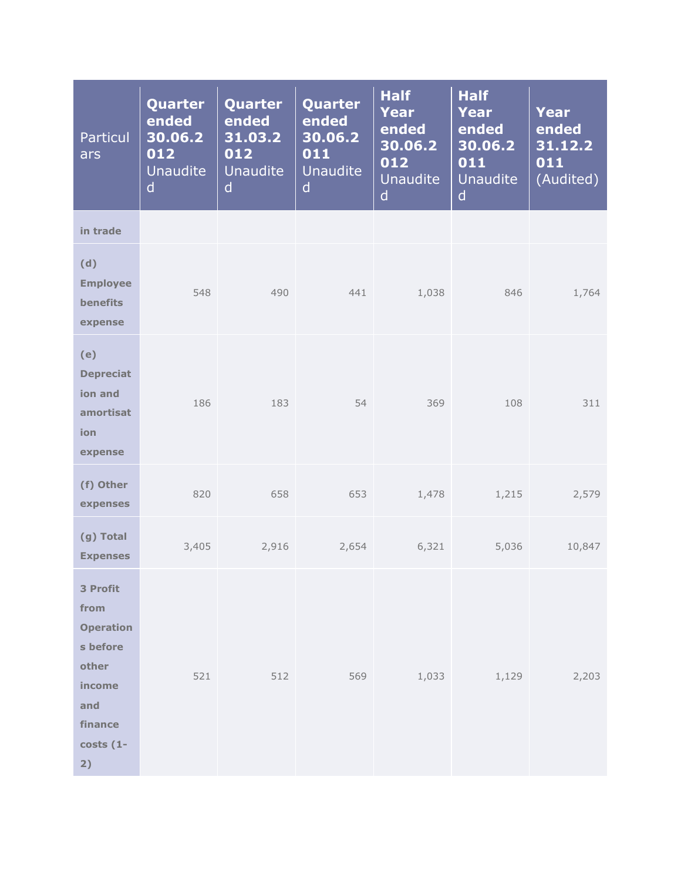| Particul<br>ars                                                                                           | Quarter<br>ended<br>30.06.2<br>012<br><b>Unaudite</b><br>d | Quarter<br>ended<br>31.03.2<br>012<br><b>Unaudite</b><br>d | Quarter<br>ended<br>30.06.2<br>011<br><b>Unaudite</b><br>$\mathsf{d}$ | <b>Half</b><br><b>Year</b><br>ended<br>30.06.2<br>012<br>Unaudite<br>$\mathsf{d}$ | <b>Half</b><br><b>Year</b><br>ended<br>30.06.2<br>011<br><b>Unaudite</b><br>$\mathsf{d}$ | Year<br>ended<br>31.12.2<br>011<br>(Audited) |
|-----------------------------------------------------------------------------------------------------------|------------------------------------------------------------|------------------------------------------------------------|-----------------------------------------------------------------------|-----------------------------------------------------------------------------------|------------------------------------------------------------------------------------------|----------------------------------------------|
| in trade                                                                                                  |                                                            |                                                            |                                                                       |                                                                                   |                                                                                          |                                              |
| (d)<br><b>Employee</b><br>benefits<br>expense                                                             | 548                                                        | 490                                                        | 441                                                                   | 1,038                                                                             | 846                                                                                      | 1,764                                        |
| (e)<br><b>Depreciat</b><br>ion and<br>amortisat<br>ion<br>expense                                         | 186                                                        | 183                                                        | 54                                                                    | 369                                                                               | 108                                                                                      | 311                                          |
| (f) Other<br>expenses                                                                                     | 820                                                        | 658                                                        | 653                                                                   | 1,478                                                                             | 1,215                                                                                    | 2,579                                        |
| (g) Total<br><b>Expenses</b>                                                                              | 3,405                                                      | 2,916                                                      | 2,654                                                                 | 6,321                                                                             | 5,036                                                                                    | 10,847                                       |
| 3 Profit<br>from<br><b>Operation</b><br>s before<br>other<br>income<br>and<br>finance<br>$costs(1-$<br>2) | 521                                                        | 512                                                        | 569                                                                   | 1,033                                                                             | 1,129                                                                                    | 2,203                                        |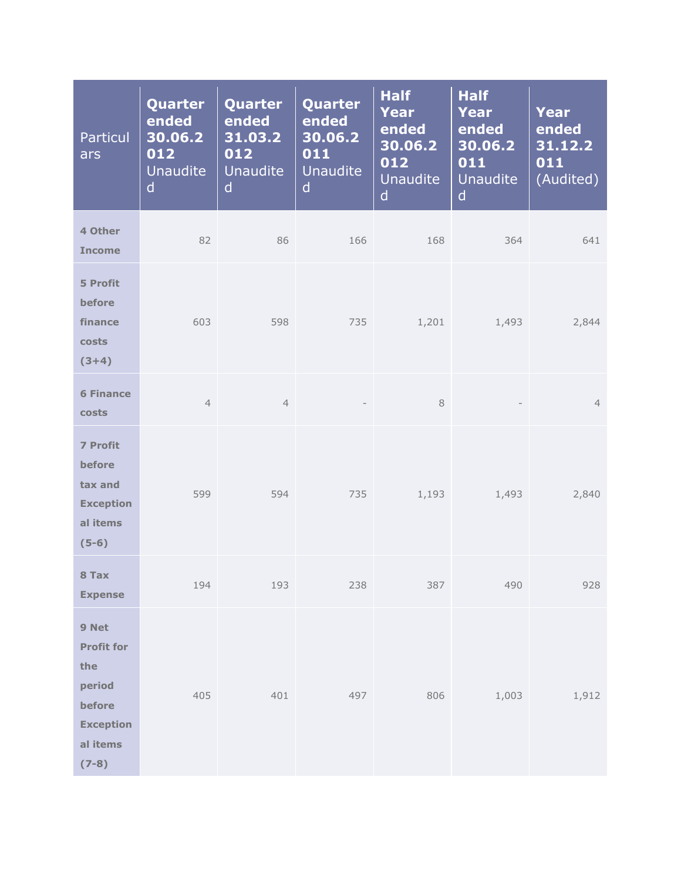| Particul<br>ars                                                                                  | Quarter<br>ended<br>30.06.2<br>012<br><b>Unaudite</b><br>d | Quarter<br>ended<br>31.03.2<br>012<br><b>Unaudite</b><br>$\mathsf{d}$ | Quarter<br>ended<br>30.06.2<br>011<br><b>Unaudite</b><br>$\mathsf{d}$ | <b>Half</b><br><b>Year</b><br>ended<br>30.06.2<br>012<br><b>Unaudite</b><br>$\mathsf{d}$ | <b>Half</b><br><b>Year</b><br>ended<br>30.06.2<br>011<br><b>Unaudite</b><br>$\mathsf{d}$ | Year<br>ended<br>31.12.2<br>011<br>(Audited) |
|--------------------------------------------------------------------------------------------------|------------------------------------------------------------|-----------------------------------------------------------------------|-----------------------------------------------------------------------|------------------------------------------------------------------------------------------|------------------------------------------------------------------------------------------|----------------------------------------------|
| 4 Other<br><b>Income</b>                                                                         | 82                                                         | 86                                                                    | 166                                                                   | 168                                                                                      | 364                                                                                      | 641                                          |
| 5 Profit<br>before<br>finance<br>costs<br>$(3+4)$                                                | 603                                                        | 598                                                                   | 735                                                                   | 1,201                                                                                    | 1,493                                                                                    | 2,844                                        |
| <b>6 Finance</b><br>costs                                                                        | $\overline{4}$                                             | $\overline{4}$                                                        | $\overline{\phantom{a}}$                                              | $\,8\,$                                                                                  | $\qquad \qquad -$                                                                        | $\overline{4}$                               |
| <b>7 Profit</b><br>before<br>tax and<br><b>Exception</b><br>al items<br>$(5-6)$                  | 599                                                        | 594                                                                   | 735                                                                   | 1,193                                                                                    | 1,493                                                                                    | 2,840                                        |
| 8 Tax<br><b>Expense</b>                                                                          | 194                                                        | 193                                                                   | 238                                                                   | 387                                                                                      | 490                                                                                      | 928                                          |
| 9 Net<br><b>Profit for</b><br>the<br>period<br>before<br><b>Exception</b><br>al items<br>$(7-8)$ | 405                                                        | 401                                                                   | 497                                                                   | 806                                                                                      | 1,003                                                                                    | 1,912                                        |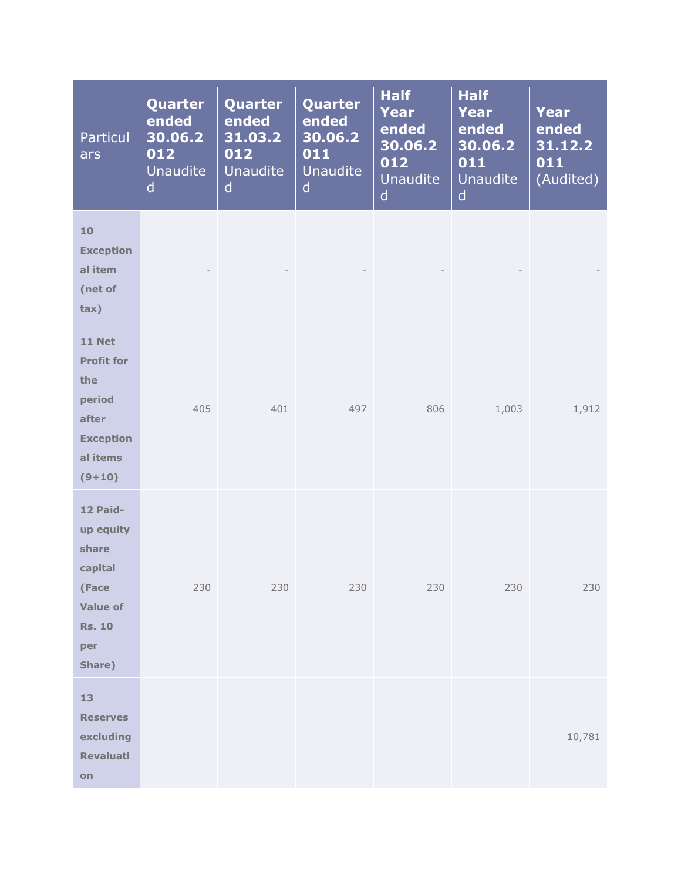| Particul<br>ars                                                                                          | Quarter<br>ended<br>30.06.2<br>012<br><b>Unaudite</b><br>d | Quarter<br>ended<br>31.03.2<br>012<br><b>Unaudite</b><br>d | Quarter<br>ended<br>30.06.2<br>011<br><b>Unaudite</b><br>$\mathsf{d}$ | <b>Half</b><br><b>Year</b><br>ended<br>30.06.2<br>012<br>Unaudite<br>$\mathsf{d}$ | <b>Half</b><br><b>Year</b><br>ended<br>30.06.2<br>011<br>Unaudite<br>$\mathsf{d}$ | <b>Year</b><br>ended<br>31.12.2<br>011<br>(Audited) |
|----------------------------------------------------------------------------------------------------------|------------------------------------------------------------|------------------------------------------------------------|-----------------------------------------------------------------------|-----------------------------------------------------------------------------------|-----------------------------------------------------------------------------------|-----------------------------------------------------|
| 10<br><b>Exception</b><br>al item<br>(net of<br>tax)                                                     |                                                            |                                                            |                                                                       |                                                                                   |                                                                                   |                                                     |
| <b>11 Net</b><br><b>Profit for</b><br>the<br>period<br>after<br><b>Exception</b><br>al items<br>$(9+10)$ | 405                                                        | 401                                                        | 497                                                                   | 806                                                                               | 1,003                                                                             | 1,912                                               |
| 12 Paid-<br>up equity<br>share<br>capital<br>(Face<br><b>Value of</b><br><b>Rs. 10</b><br>per<br>Share)  | 230                                                        | 230                                                        | 230                                                                   | 230                                                                               | 230                                                                               | 230                                                 |
| 13<br><b>Reserves</b><br>excluding<br>Revaluati<br>on                                                    |                                                            |                                                            |                                                                       |                                                                                   |                                                                                   | 10,781                                              |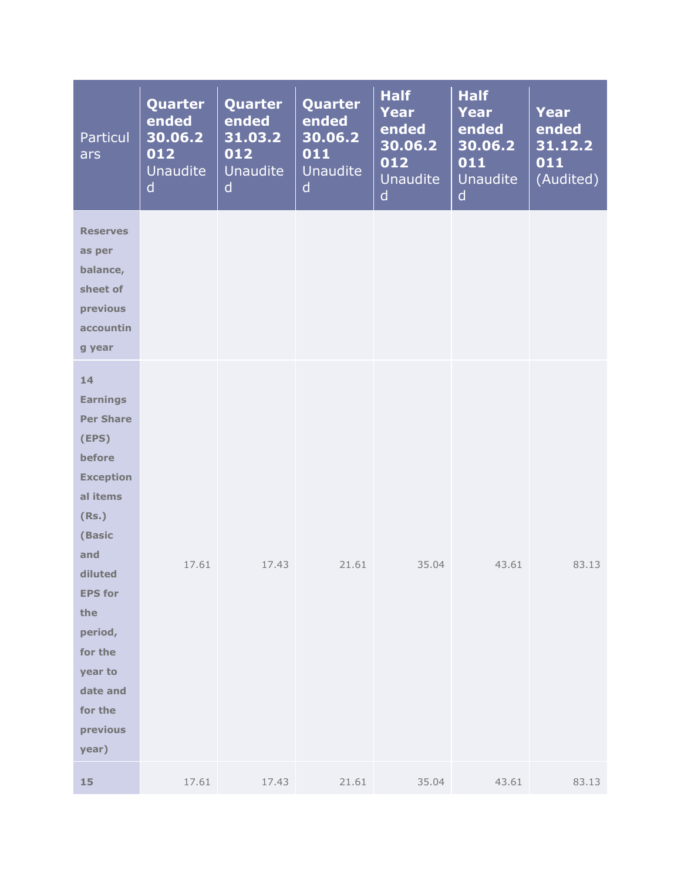| Particul<br>ars                                                                                                                                                                                                                         | Quarter<br>ended<br>30.06.2<br>012<br><b>Unaudite</b><br>$\mathsf{d}$ | Quarter<br>ended<br>31.03.2<br>012<br><b>Unaudite</b><br>d | Quarter<br>ended<br>30.06.2<br>011<br><b>Unaudite</b><br>$\mathsf{d}$ | <b>Half</b><br><b>Year</b><br>ended<br>30.06.2<br>012<br>Unaudite<br>$\mathsf{d}$ | <b>Half</b><br><b>Year</b><br>ended<br>30.06.2<br>011<br><b>Unaudite</b><br>$\mathsf{d}$ | <b>Year</b><br>ended<br>31.12.2<br>011<br>(Audited) |
|-----------------------------------------------------------------------------------------------------------------------------------------------------------------------------------------------------------------------------------------|-----------------------------------------------------------------------|------------------------------------------------------------|-----------------------------------------------------------------------|-----------------------------------------------------------------------------------|------------------------------------------------------------------------------------------|-----------------------------------------------------|
| <b>Reserves</b><br>as per<br>balance,<br>sheet of<br>previous<br>accountin<br>g year                                                                                                                                                    |                                                                       |                                                            |                                                                       |                                                                                   |                                                                                          |                                                     |
| 14<br><b>Earnings</b><br><b>Per Share</b><br>(EPS)<br>before<br><b>Exception</b><br>al items<br>(Rs.)<br>(Basic<br>and<br>diluted<br><b>EPS for</b><br>the<br>period,<br>for the<br>year to<br>date and<br>for the<br>previous<br>year) | 17.61                                                                 | 17.43                                                      | 21.61                                                                 | 35.04                                                                             | 43.61                                                                                    | 83.13                                               |
| 15                                                                                                                                                                                                                                      | 17.61                                                                 | 17.43                                                      | 21.61                                                                 | 35.04                                                                             | 43.61                                                                                    | 83.13                                               |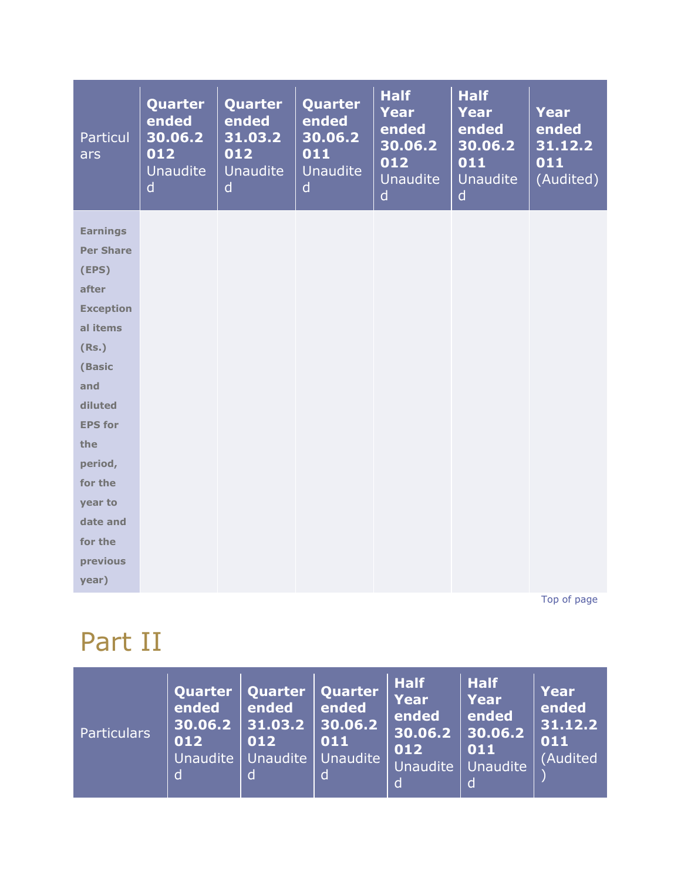| Particul<br>ars  | Quarter<br>ended<br>30.06.2<br>012<br>Unaudite<br>$\mathsf{d}$ | Quarter<br>ended<br>31.03.2<br>012<br><b>Unaudite</b><br>d | Quarter<br>ended<br>30.06.2<br>011<br><b>Unaudite</b><br>$\mathsf{d}$ | <b>Half</b><br><b>Year</b><br>ended<br>30.06.2<br>012<br><b>Unaudite</b><br>$\mathsf{d}$ | <b>Half</b><br><b>Year</b><br>ended<br>30.06.2<br>011<br><b>Unaudite</b><br>$\mathsf{d}$ | <b>Year</b><br>ended<br>31.12.2<br>011<br>(Audited) |
|------------------|----------------------------------------------------------------|------------------------------------------------------------|-----------------------------------------------------------------------|------------------------------------------------------------------------------------------|------------------------------------------------------------------------------------------|-----------------------------------------------------|
| <b>Earnings</b>  |                                                                |                                                            |                                                                       |                                                                                          |                                                                                          |                                                     |
| <b>Per Share</b> |                                                                |                                                            |                                                                       |                                                                                          |                                                                                          |                                                     |
| (EPS)            |                                                                |                                                            |                                                                       |                                                                                          |                                                                                          |                                                     |
| after            |                                                                |                                                            |                                                                       |                                                                                          |                                                                                          |                                                     |
| <b>Exception</b> |                                                                |                                                            |                                                                       |                                                                                          |                                                                                          |                                                     |
| al items         |                                                                |                                                            |                                                                       |                                                                                          |                                                                                          |                                                     |
| (Rs.)            |                                                                |                                                            |                                                                       |                                                                                          |                                                                                          |                                                     |
| (Basic           |                                                                |                                                            |                                                                       |                                                                                          |                                                                                          |                                                     |
| and              |                                                                |                                                            |                                                                       |                                                                                          |                                                                                          |                                                     |
| diluted          |                                                                |                                                            |                                                                       |                                                                                          |                                                                                          |                                                     |
| <b>EPS for</b>   |                                                                |                                                            |                                                                       |                                                                                          |                                                                                          |                                                     |
| the              |                                                                |                                                            |                                                                       |                                                                                          |                                                                                          |                                                     |
| period,          |                                                                |                                                            |                                                                       |                                                                                          |                                                                                          |                                                     |
| for the          |                                                                |                                                            |                                                                       |                                                                                          |                                                                                          |                                                     |
| year to          |                                                                |                                                            |                                                                       |                                                                                          |                                                                                          |                                                     |
| date and         |                                                                |                                                            |                                                                       |                                                                                          |                                                                                          |                                                     |
| for the          |                                                                |                                                            |                                                                       |                                                                                          |                                                                                          |                                                     |
| previous         |                                                                |                                                            |                                                                       |                                                                                          |                                                                                          |                                                     |
| year)            |                                                                |                                                            |                                                                       |                                                                                          |                                                                                          |                                                     |

[Top of page](http://www.sanofiindialtd.com/l/pw/en/layout.jsp?cnt=79567B5E-08D1-4AD2-8C69-9CDF7392E5FF#area_b)

### Part II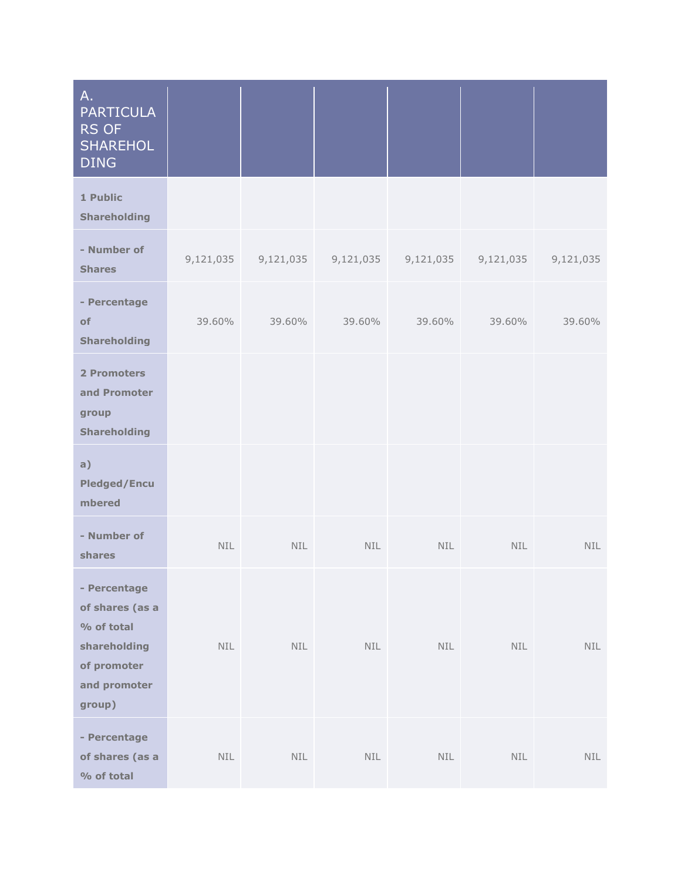| A.<br><b>PARTICULA</b><br>RS OF<br><b>SHAREHOL</b><br><b>DING</b>                                      |            |                  |            |            |            |            |
|--------------------------------------------------------------------------------------------------------|------------|------------------|------------|------------|------------|------------|
| 1 Public<br><b>Shareholding</b>                                                                        |            |                  |            |            |            |            |
| - Number of<br><b>Shares</b>                                                                           | 9,121,035  | 9,121,035        | 9,121,035  | 9,121,035  | 9,121,035  | 9,121,035  |
| - Percentage<br>of<br><b>Shareholding</b>                                                              | 39.60%     | 39.60%           | 39.60%     | 39.60%     | 39.60%     | 39.60%     |
| 2 Promoters<br>and Promoter<br>group<br>Shareholding                                                   |            |                  |            |            |            |            |
| a)<br><b>Pledged/Encu</b><br>mbered                                                                    |            |                  |            |            |            |            |
| - Number of<br>shares                                                                                  | <b>NIL</b> | NIL              | <b>NIL</b> | <b>NIL</b> | <b>NIL</b> | <b>NIL</b> |
| - Percentage<br>of shares (as a<br>% of total<br>shareholding<br>of promoter<br>and promoter<br>group) | NIL        | NIL              | NIL        | NIL        | NIL        | <b>NIL</b> |
| - Percentage<br>of shares (as a<br>% of total                                                          | NIL        | $\textsf{NIL}{}$ | $\sf NIL$  | <b>NIL</b> | <b>NIL</b> | <b>NIL</b> |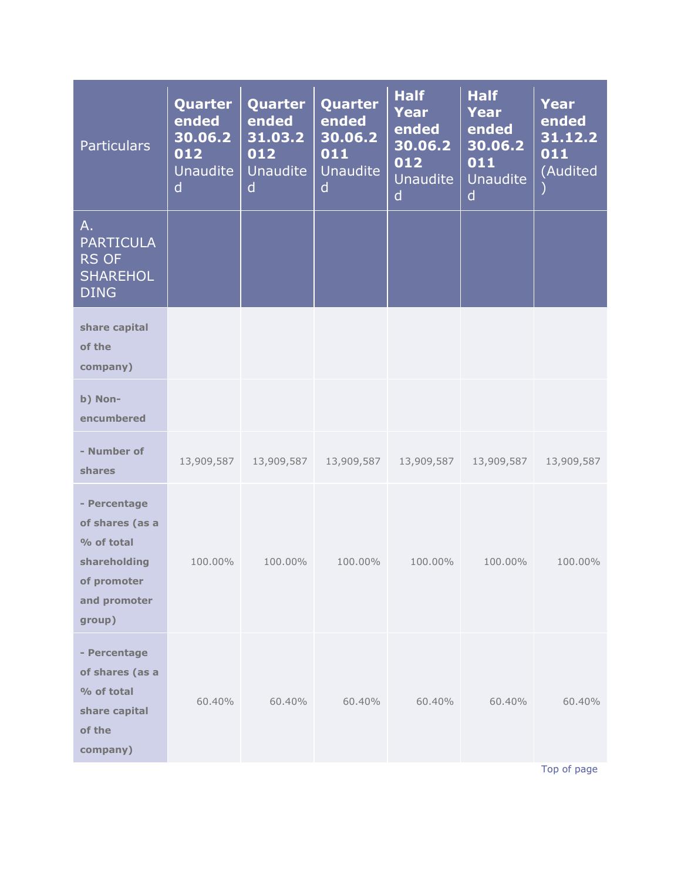| <b>Particulars</b>                                                                                     | <b>Quarter</b><br>ended<br>30.06.2<br>012<br><b>Unaudite</b><br>$\mathsf{d}$ | Quarter<br>ended<br>31.03.2<br>012<br><b>Unaudite</b><br>d | Quarter<br>ended<br>30.06.2<br>011<br><b>Unaudite</b><br>d | <b>Half</b><br>Year<br>ended<br>30.06.2<br>012<br><b>Unaudite</b><br>$\mathsf{d}$ | <b>Half</b><br>Year<br>ended<br>30.06.2<br>011<br>Unaudite<br>d | Year<br>ended<br>31.12.2<br>011<br>(Audited |
|--------------------------------------------------------------------------------------------------------|------------------------------------------------------------------------------|------------------------------------------------------------|------------------------------------------------------------|-----------------------------------------------------------------------------------|-----------------------------------------------------------------|---------------------------------------------|
| Α.<br><b>PARTICULA</b><br><b>RS OF</b><br><b>SHAREHOL</b><br><b>DING</b>                               |                                                                              |                                                            |                                                            |                                                                                   |                                                                 |                                             |
| share capital<br>of the<br>company)                                                                    |                                                                              |                                                            |                                                            |                                                                                   |                                                                 |                                             |
| b) Non-<br>encumbered                                                                                  |                                                                              |                                                            |                                                            |                                                                                   |                                                                 |                                             |
| - Number of<br>shares                                                                                  | 13,909,587                                                                   | 13,909,587                                                 | 13,909,587                                                 | 13,909,587                                                                        | 13,909,587                                                      | 13,909,587                                  |
| - Percentage<br>of shares (as a<br>% of total<br>shareholding<br>of promoter<br>and promoter<br>group) | 100.00%                                                                      | 100.00%                                                    | 100.00%                                                    | 100.00%                                                                           | 100.00%                                                         | 100.00%                                     |
| - Percentage<br>of shares (as a<br>% of total<br>share capital<br>of the<br>company)                   | 60,40%                                                                       | 60.40%                                                     | 60.40%                                                     | 60.40%                                                                            | 60.40%                                                          | 60.40%<br>Top of page                       |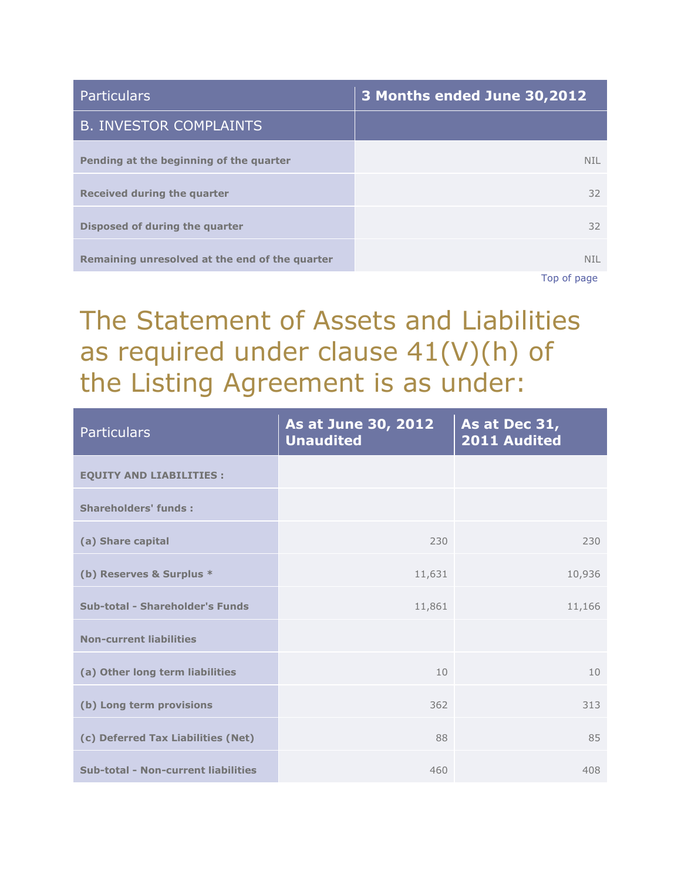| <b>Particulars</b>                             | 3 Months ended June 30,2012 |
|------------------------------------------------|-----------------------------|
| <b>B. INVESTOR COMPLAINTS</b>                  |                             |
| Pending at the beginning of the quarter        | <b>NIL</b>                  |
| Received during the quarter                    | 32                          |
| Disposed of during the quarter                 | 32                          |
| Remaining unresolved at the end of the quarter | <b>NIL</b>                  |
|                                                | Ton of nago                 |

[Top of page](http://www.sanofiindialtd.com/l/pw/en/layout.jsp?cnt=79567B5E-08D1-4AD2-8C69-9CDF7392E5FF#area_b)

## The Statement of Assets and Liabilities as required under clause 41(V)(h) of the Listing Agreement is as under:

| <b>Particulars</b>                         | As at June 30, 2012<br><b>Unaudited</b> | As at Dec 31,<br>2011 Audited |
|--------------------------------------------|-----------------------------------------|-------------------------------|
| <b>EQUITY AND LIABILITIES :</b>            |                                         |                               |
| <b>Shareholders' funds:</b>                |                                         |                               |
| (a) Share capital                          | 230                                     | 230                           |
| (b) Reserves & Surplus *                   | 11,631                                  | 10,936                        |
| Sub-total - Shareholder's Funds            | 11,861                                  | 11,166                        |
| <b>Non-current liabilities</b>             |                                         |                               |
| (a) Other long term liabilities            | 10                                      | 10                            |
| (b) Long term provisions                   | 362                                     | 313                           |
| (c) Deferred Tax Liabilities (Net)         | 88                                      | 85                            |
| <b>Sub-total - Non-current liabilities</b> | 460                                     | 408                           |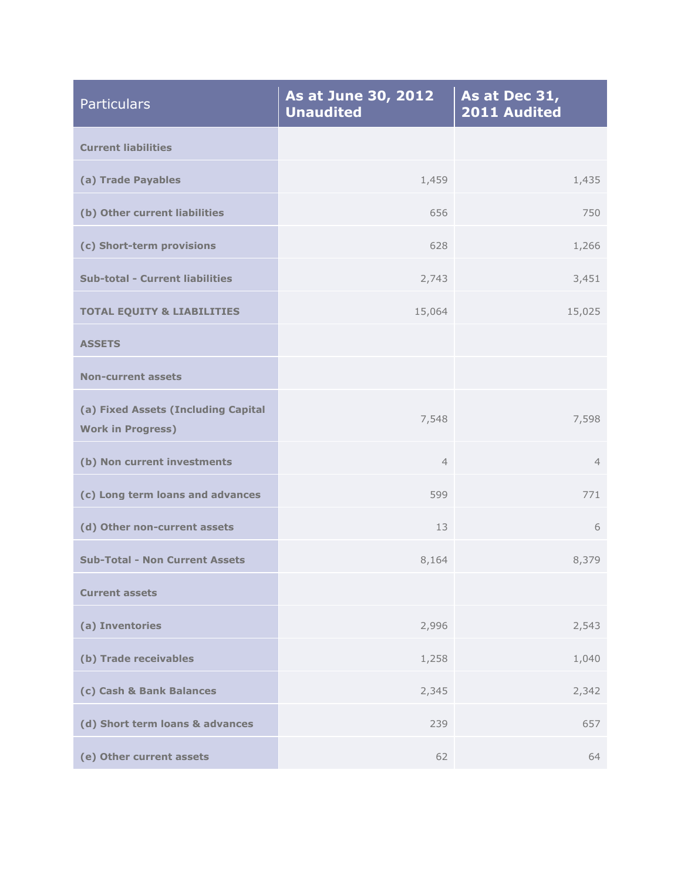| <b>Particulars</b>                                              | As at June 30, 2012<br><b>Unaudited</b> | As at Dec 31,<br>2011 Audited |
|-----------------------------------------------------------------|-----------------------------------------|-------------------------------|
| <b>Current liabilities</b>                                      |                                         |                               |
| (a) Trade Payables                                              | 1,459                                   | 1,435                         |
| (b) Other current liabilities                                   | 656                                     | 750                           |
| (c) Short-term provisions                                       | 628                                     | 1,266                         |
| <b>Sub-total - Current liabilities</b>                          | 2,743                                   | 3,451                         |
| <b>TOTAL EQUITY &amp; LIABILITIES</b>                           | 15,064                                  | 15,025                        |
| <b>ASSETS</b>                                                   |                                         |                               |
| <b>Non-current assets</b>                                       |                                         |                               |
| (a) Fixed Assets (Including Capital<br><b>Work in Progress)</b> | 7,548                                   | 7,598                         |
| (b) Non current investments                                     | $\overline{4}$                          | $\overline{4}$                |
| (c) Long term loans and advances                                | 599                                     | 771                           |
| (d) Other non-current assets                                    | 13                                      | 6                             |
| <b>Sub-Total - Non Current Assets</b>                           | 8,164                                   | 8,379                         |
| <b>Current assets</b>                                           |                                         |                               |
| (a) Inventories                                                 | 2,996                                   | 2,543                         |
| (b) Trade receivables                                           | 1,258                                   | 1,040                         |
| (c) Cash & Bank Balances                                        | 2,345                                   | 2,342                         |
| (d) Short term loans & advances                                 | 239                                     | 657                           |
| (e) Other current assets                                        | 62                                      | 64                            |